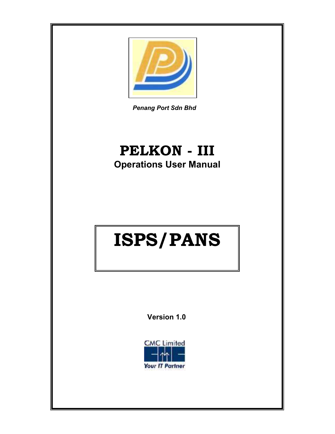

Penang Port Sdn Bhd

## PELKON - III Operations User Manual

# ISPS/PANS

Version 1.0

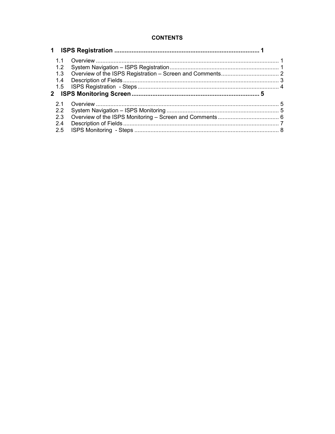## **CONTENTS**

| 1.1           |  |
|---------------|--|
| 1.2           |  |
| 1.3           |  |
| 1.4           |  |
|               |  |
|               |  |
| 2.1           |  |
| $2.2^{\circ}$ |  |
| 2.3           |  |
| 2.4           |  |
| 2.5           |  |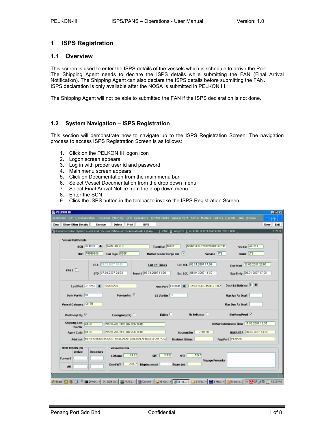## 1 ISPS Registration

## 1.1 Overview

This screen is used to enter the ISPS details of the vessels which is schedule to arrive the Port. The Shipping Agent needs to declare the ISPS details while submitting the FAN (Final Arrival Notification). The Shipping Agent can also declare the ISPS details before submitting the FAN. ISPS declaration is only available after the NOSA is submitted in PELKON III.

The Shipping Agent will not be able to submitted the FAN if the ISPS declaration is not done.

## 1.2 System Navigation – ISPS Registration

This section will demonstrate how to navigate up to the ISPS Registration Screen. The navigation process to access ISPS Registration Screen is as follows:

- 1. Click on the PELKON III logon icon
- 2. Logon screen appears
- 3. Log in with proper user id and password
- 4. Main menu screen appears
- 5. Click on Documentation from the main menu bar
- 6. Select Vessel Documentation from the drop down menu
- 7. Select Final Arrival Notice from the drop down menu
- 8. Enter the SCN.
- 9. Click the ISPS button in the toolbar to invoke the ISPS Registration Screen.

| <b>B</b> PELKON III           |                                                                                                                                                                                                                    | 同回図          |
|-------------------------------|--------------------------------------------------------------------------------------------------------------------------------------------------------------------------------------------------------------------|--------------|
|                               | gplication Edit Qocumentation Container Planning CFS Querations Control Centre Management Admin Masters Options Beports Help Window                                                                                |              |
| Clear Show Other Details      | <b>Delete</b><br>Print<br><b>ISPS</b><br>Service                                                                                                                                                                   | Save Exit    |
|                               | Ta Documentation Systems->Vessel Documentation->Final Arrival Notice (Fart)<br>[ CMC     fastprod     NORTH BUTTERWORTH CTR TWNL ]                                                                                 | $2.5 \times$ |
| <b>Vessel Call Details</b>    | WAN HAI 213<br><b>Terminal NBCT</b><br>NORTH BUTTERWORTH CTR.<br>SCN 074003<br>Visi Cd MH213                                                                                                                       |              |
|                               | Service JTS<br>IMO 70098969<br>Call Sign 86SF<br>Route JTS<br>Mother Feeder Barge Ind                                                                                                                              |              |
| FAH ?                         | ETA 28.03.2007 10:45<br>Exp FCL 06.04.2007 17:00<br>Exp Start 30.03.2007 23:00<br><b>Cut off Times</b><br>FTD 07:04:2007.22:00<br>Exp LCL 05.04.2007 11:00<br>Import 06.04.2007 11:00<br>Exp Emty 06.04.2007 17:00 |              |
|                               | Dach Ld Both Ind <sup>B</sup><br>Next Part HIGHKN & HONG KONG MAINSTREA<br>Last Port JPKWS # KWWSAKI                                                                                                               |              |
| <b>Book Voy No. 10</b>        | Foreign Ind <sup>17</sup><br>Ld Voy No 10<br>Max Arr Air Draft                                                                                                                                                     |              |
| Vessel Category CNTR          | Max Dep Air Draft                                                                                                                                                                                                  |              |
|                               |                                                                                                                                                                                                                    |              |
| Pilot Regd Fig. <sup>17</sup> | Berthing Read <sup>17</sup><br>$Hz$ indicator $\Box$<br>Edible <sup>[1]</sup><br>Emergency Fig                                                                                                                     |              |
| Shipping Line WHAT<br>Charter | NOSA Submission Time 11.03.2007 19:35<br>WAN HAI LINES IN SDN BHD                                                                                                                                                  |              |
| <b>Agent Code VAHN</b>        | MOSA ETA 06.04.2007 23:00<br>WAN HAI LINES (M) SDN BHD<br>200178<br><b>Account No</b>                                                                                                                              |              |
|                               | RegiPert PENANG<br>Address 55-19-A NENARA NORTHAM JALAN SULTAN AHMAD SHAH PULA<br><b>Resident Status</b>                                                                                                           |              |
| Draft Details (m)<br>Arrival  | <b>Vessel Details</b><br>Departure<br>7247<br>17139<br>174,65<br><b>NRT</b>                                                                                                                                        |              |
| Forward                       | GRT<br>LOA 010<br><b>Voyage Remarks</b><br>23837<br><b>Displacement</b><br>Dead WT<br>Beam tml                                                                                                                     |              |
| Aft                           |                                                                                                                                                                                                                    |              |
|                               |                                                                                                                                                                                                                    |              |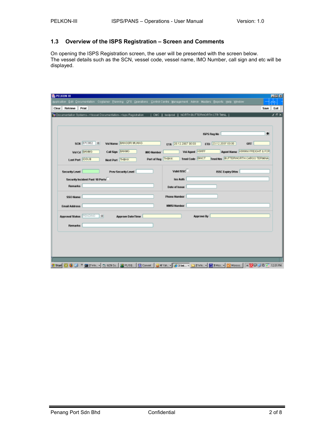## 1.3 Overview of the ISPS Registration – Screen and Comments

On opening the ISPS Registration screen, the user will be presented with the screen below. The vessel details such as the SCN, vessel code, vessel name, IMO Number, call sign and etc will be displayed.

| <b>B</b> PELKON III  |                                                                                                                                                                     | 周回凶  |
|----------------------|---------------------------------------------------------------------------------------------------------------------------------------------------------------------|------|
|                      | sppikation Edit Qocumentation Cogtainer Planning CFS Operations Control Centre Management Admin Masters Beports Help Window                                         |      |
| Clear Retrieve Print | Save                                                                                                                                                                | Exit |
|                      | To Documentation Systems->Vessel Documentation->Isps Registration [ ] CNC [ ] testprod [ ] NORTH BUTTERWORTH CTR TNNL [                                             | ビボメ  |
|                      |                                                                                                                                                                     |      |
|                      |                                                                                                                                                                     | ÷    |
|                      | <b>ISPS Reg No</b>                                                                                                                                                  |      |
|                      | SCN 07C002 +<br>Val Name BANGSRI MUANG<br>ЕТА 20.12.2007 00:00<br>ETD 23.12.2007 00:00<br>GRT                                                                       |      |
|                      | Agent Name KINWNI FREIGHT & FOR<br>Call Sign BANNG<br><b>Val Agent KWFF</b><br>Validal BANKG<br><b>IMO Number</b>                                                   |      |
|                      | Tmnl Nm BUTTERWORTH CARGO TERMINAL<br>Timel Code BWCT<br>Port of Reg THBKK<br>Last Port DSUB<br>Next Port THBKK                                                     |      |
|                      |                                                                                                                                                                     |      |
| Security Level       | Valid ISSC<br><b>ISSC Expiry Dttm</b><br>Prev Security Level                                                                                                        |      |
|                      | Security Incident Past 10 Ports<br>iss Auth                                                                                                                         |      |
| <b>Remarks</b>       | Date of Issue                                                                                                                                                       |      |
|                      |                                                                                                                                                                     |      |
| SSO Name             | <b>Phone Number</b>                                                                                                                                                 |      |
| Email Address        | <b>MMSI Number</b>                                                                                                                                                  |      |
|                      |                                                                                                                                                                     |      |
|                      | Approval Status FENDING   +<br>Approve By<br><b>Approve Date/Time</b>                                                                                               |      |
| Remarks              |                                                                                                                                                                     |      |
|                      |                                                                                                                                                                     |      |
|                      |                                                                                                                                                                     |      |
|                      |                                                                                                                                                                     |      |
|                      |                                                                                                                                                                     |      |
|                      |                                                                                                                                                                     |      |
|                      | <b>3 Start 10 60 13 × 88 2 Vin, T. S.23 Co., St. P. ASO., Dicover C. 4 Yak., E. 24 Yak., T. 24 Yak., T. 12 Nicology &amp; T. 24 Yak., T. 12 O. 24 O. W. 12 O.PM</b> |      |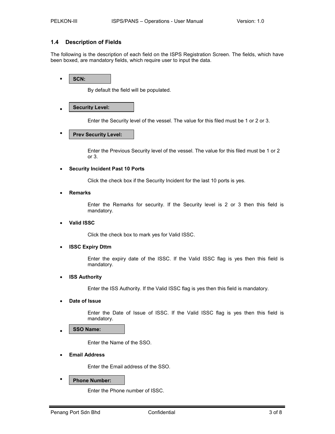## 1.4 Description of Fields

The following is the description of each field on the ISPS Registration Screen. The fields, which have been boxed, are mandatory fields, which require user to input the data.

• SCN:

By default the field will be populated.

#### • Security Level:

Enter the Security level of the vessel. The value for this filed must be 1 or 2 or 3.

• T Prev Security Level:

> Enter the Previous Security level of the vessel. The value for this filed must be 1 or 2 or 3.

## • Security Incident Past 10 Ports

Click the check box if the Security Incident for the last 10 ports is yes.

**Remarks** 

Enter the Remarks for security. If the Security level is 2 or 3 then this field is mandatory.

## • Valid ISSC

Click the check box to mark yes for Valid ISSC.

## • ISSC Expiry Dttm

Enter the expiry date of the ISSC. If the Valid ISSC flag is yes then this field is mandatory.

## **ISS Authority**

Enter the ISS Authority. If the Valid ISSC flag is yes then this field is mandatory.

Date of Issue

Enter the Date of Issue of ISSC. If the Valid ISSC flag is yes then this field is mandatory.

#### • SSO Name:

Enter the Name of the SSO.

**Email Address** 

Enter the Email address of the SSO.

## Phone Number:

Enter the Phone number of ISSC.

•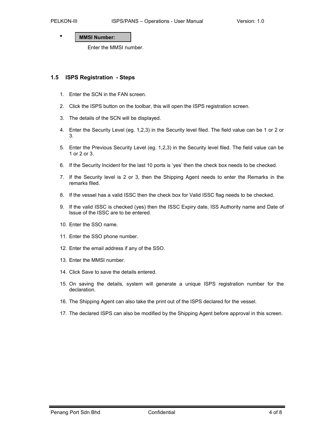#### • MMSI Number:

Enter the MMSI number.

## 1.5 ISPS Registration - Steps

- 1. Enter the SCN in the FAN screen.
- 2. Click the ISPS button on the toolbar, this will open the ISPS registration screen.
- 3. The details of the SCN will be displayed.
- 4. Enter the Security Level (eg. 1,2,3) in the Security level filed. The field value can be 1 or 2 or 3.
- 5. Enter the Previous Security Level (eg. 1,2,3) in the Security level filed. The field value can be 1 or 2 or 3.
- 6. If the Security Incident for the last 10 ports is 'yes' then the check box needs to be checked.
- 7. If the Security level is 2 or 3, then the Shipping Agent needs to enter the Remarks in the remarks filed.
- 8. If the vessel has a valid ISSC then the check box for Valid ISSC flag needs to be checked.
- 9. If the valid ISSC is checked (yes) then the ISSC Expiry date, ISS Authority name and Date of Issue of the ISSC are to be entered.
- 10. Enter the SSO name.
- 11. Enter the SSO phone number.
- 12. Enter the email address if any of the SSO.
- 13. Enter the MMSI number.
- 14. Click Save to save the details entered.
- 15. On saving the details, system will generate a unique ISPS registration number for the declaration.
- 16. The Shipping Agent can also take the print out of the ISPS declared for the vessel.
- 17. The declared ISPS can also be modified by the Shipping Agent before approval in this screen.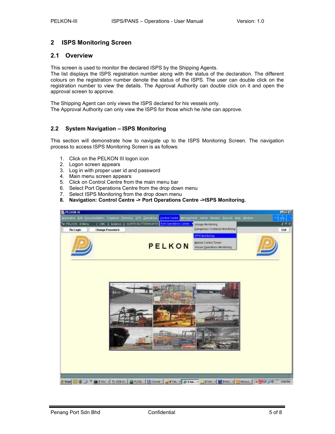## 2 ISPS Monitoring Screen

## 2.1 Overview

This screen is used to monitor the declared ISPS by the Shipping Agents.

The list displays the ISPS registration number along with the status of the declaration. The different colours on the registration number denote the status of the ISPS. The user can double click on the registration number to view the details. The Approval Authority can double click on it and open the approval screen to approve.

The Shipping Agent can only views the ISPS declared for his vessels only. The Approval Authority can only view the ISPS for those which he /she can approve.

## 2.2 System Navigation – ISPS Monitoring

This section will demonstrate how to navigate up to the ISPS Monitoring Screen. The navigation process to access ISPS Monitoring Screen is as follows:

- 1. Click on the PELKON III logon icon
- 2. Logon screen appears
- 3. Log in with proper user id and password
- 4. Main menu screen appears
- 5. Click on Control Centre from the main menu bar
- 6. Select Port Operations Centre from the drop down menu
- 7. Select ISPS Monitoring from the drop down menu
- 8. Navigation: Control Centre -> Port Operations Centre ->ISPS Monitoring.

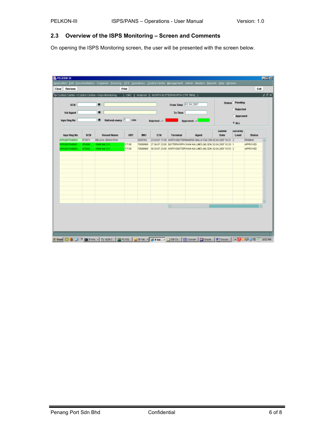## 2.3 Overview of the ISPS Monitoring – Screen and Comments

On opening the ISPS Monitoring screen, the user will be presented with the screen below.

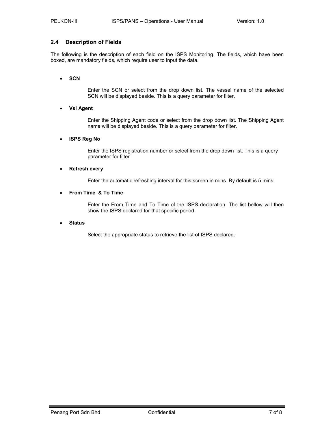## 2.4 Description of Fields

The following is the description of each field on the ISPS Monitoring. The fields, which have been boxed, are mandatory fields, which require user to input the data.

## • SCN

Enter the SCN or select from the drop down list. The vessel name of the selected SCN will be displayed beside. This is a query parameter for filter.

## • Vsl Agent

Enter the Shipping Agent code or select from the drop down list. The Shipping Agent name will be displayed beside. This is a query parameter for filter.

## • ISPS Reg No

Enter the ISPS registration number or select from the drop down list. This is a query parameter for filter

## • Refresh every

Enter the automatic refreshing interval for this screen in mins. By default is 5 mins.

## • From Time & To Time

Enter the From Time and To Time of the ISPS declaration. The list bellow will then show the ISPS declared for that specific period.

## • Status

Select the appropriate status to retrieve the list of ISPS declared.